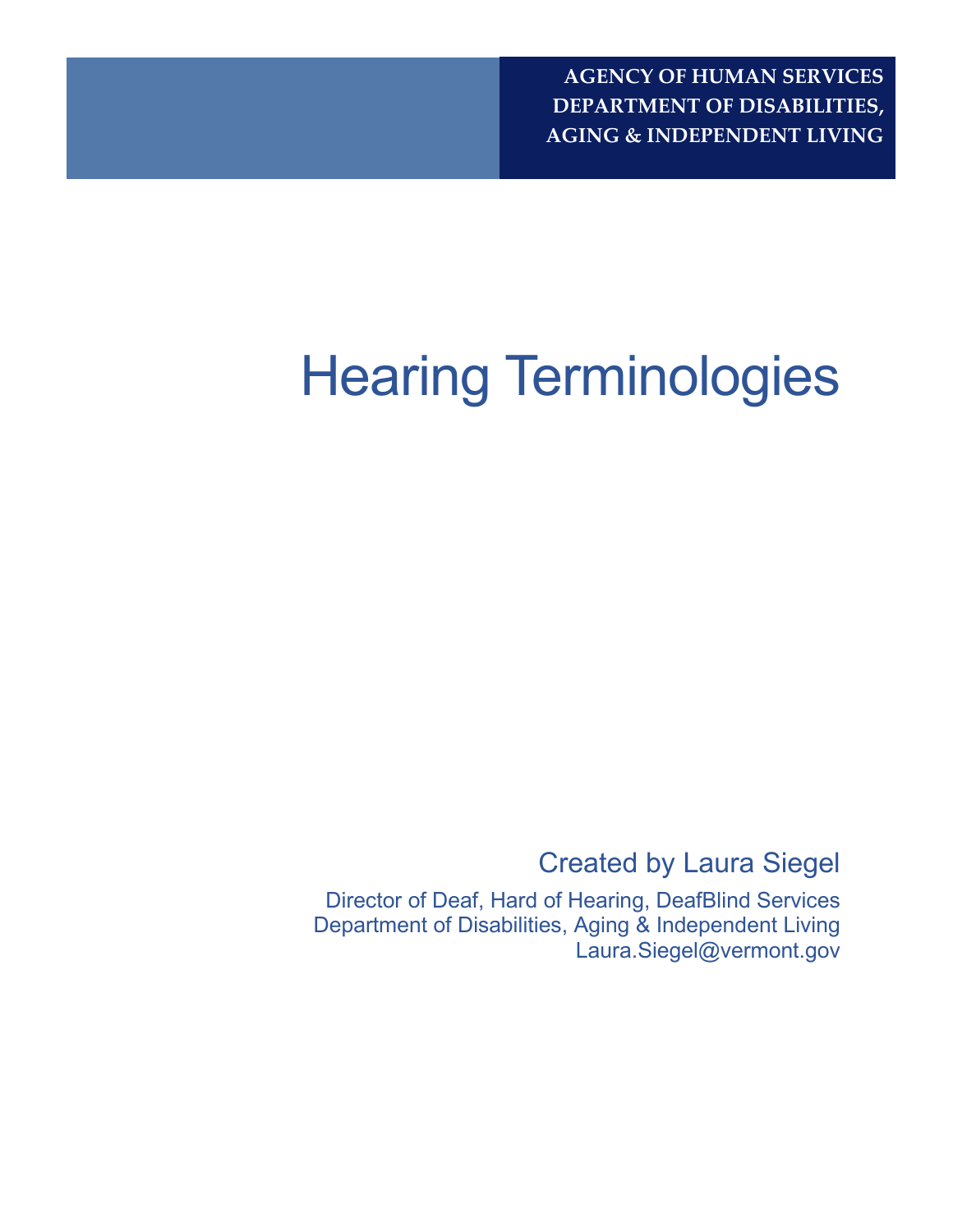# Hearing Terminologies

Created by Laura Siegel

Director of Deaf, Hard of Hearing, DeafBlind Services Department of Disabilities, Aging & Independent Living Laura.Siegel@vermont.gov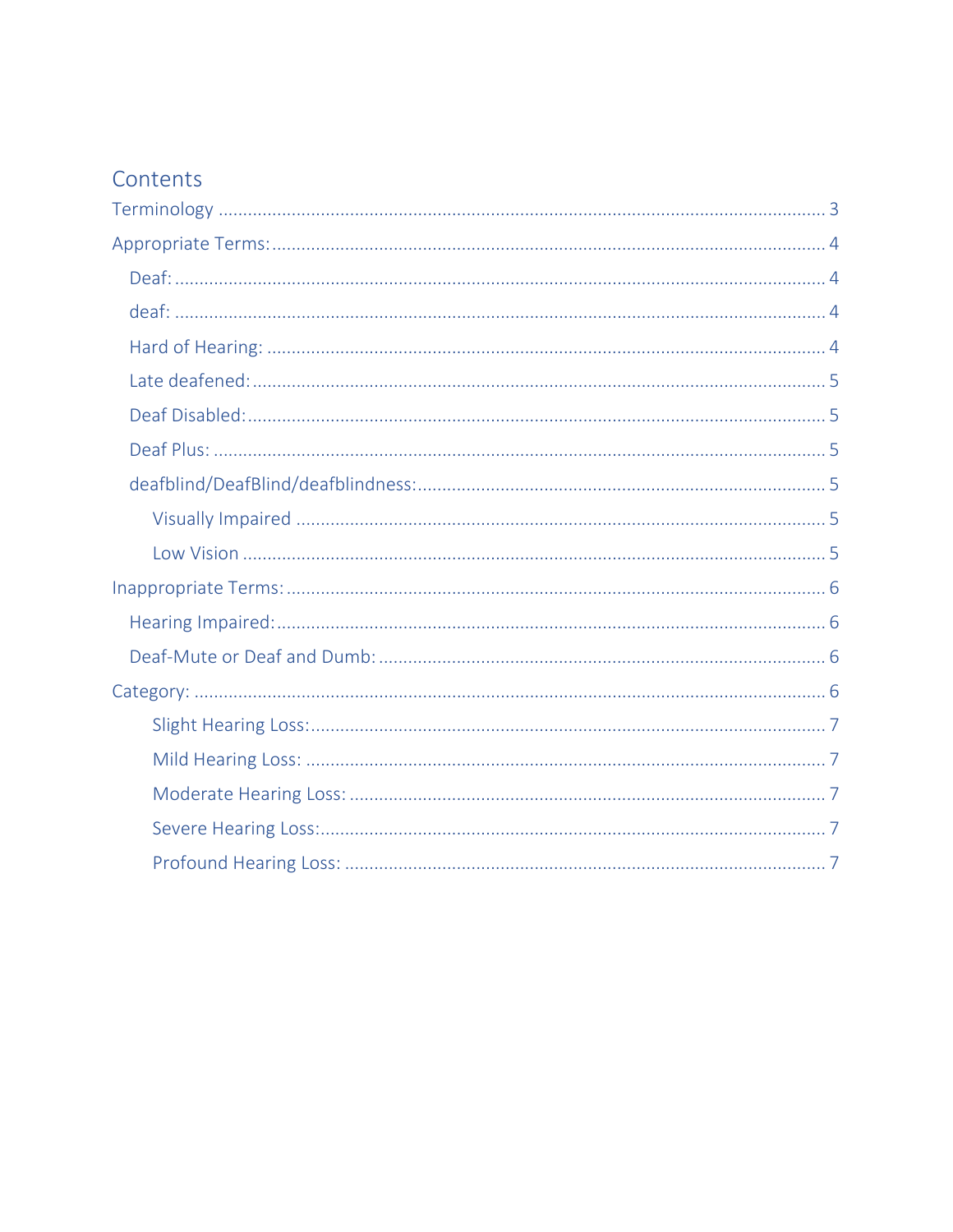# Contents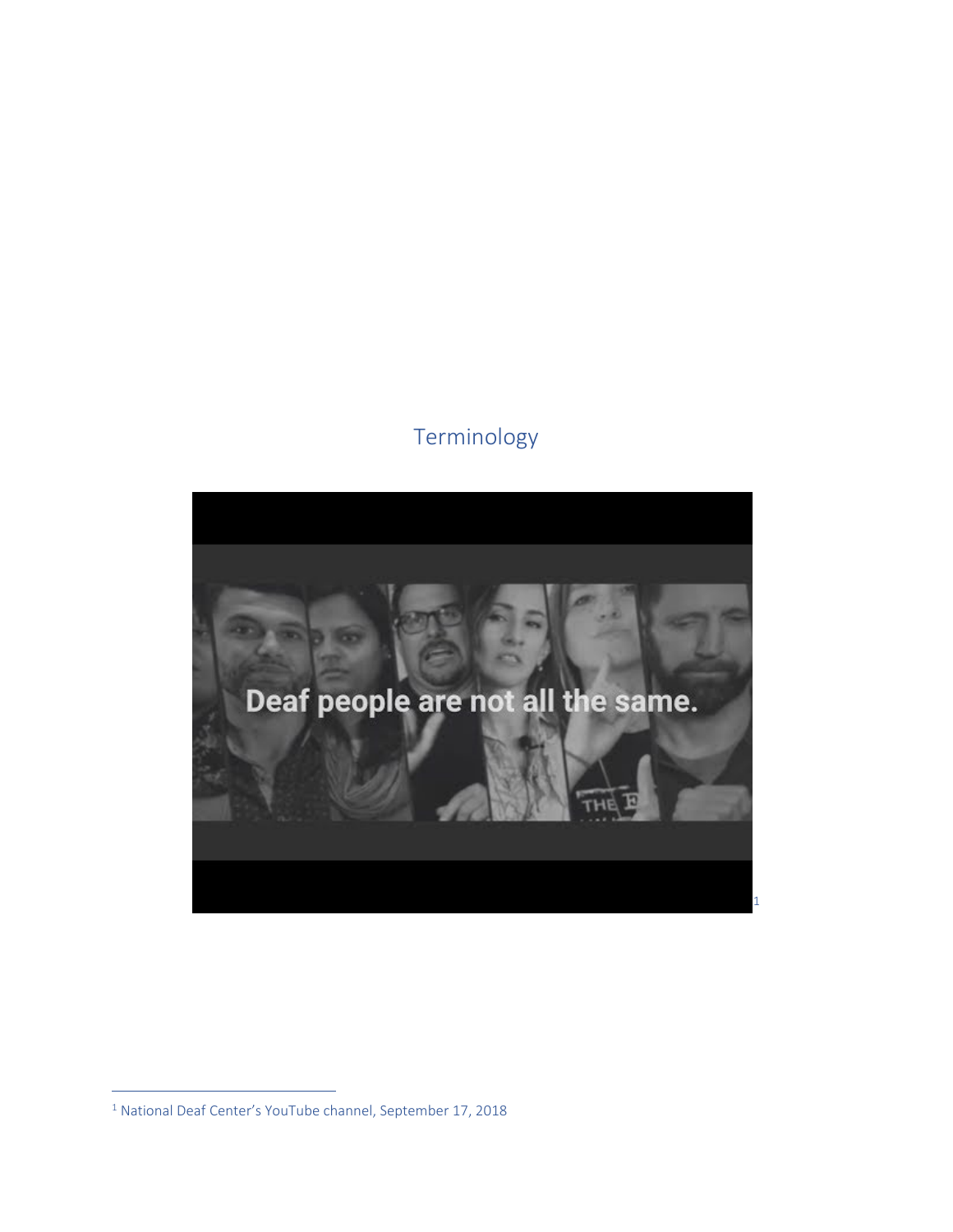# Terminology

<span id="page-2-0"></span>

<span id="page-2-1"></span>National Deaf Center's YouTube channel, September 17, 2018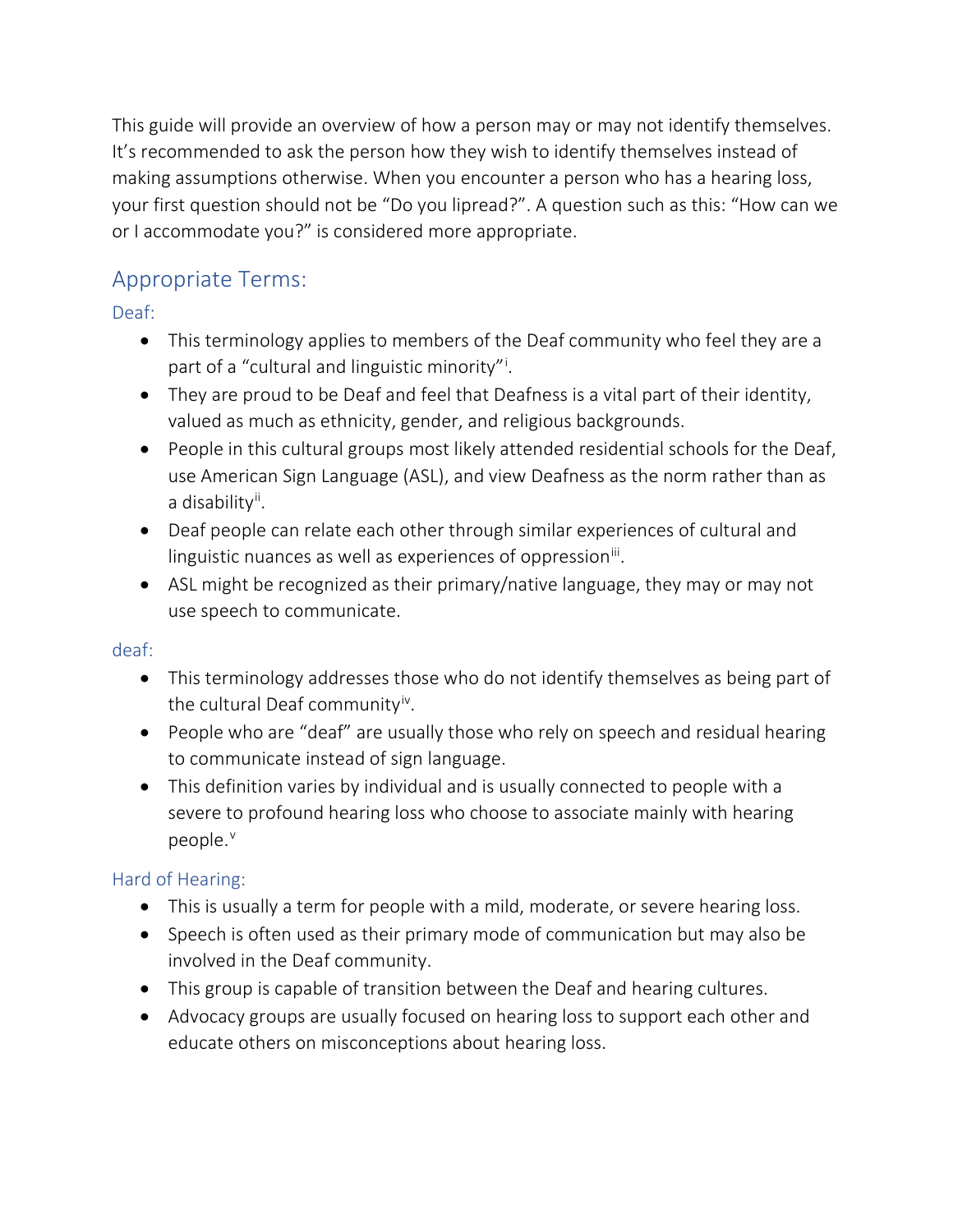This guide will provide an overview of how a person may or may not identify themselves. It's recommended to ask the person how they wish to identify themselves instead of making assumptions otherwise. When you encounter a person who has a hearing loss, your first question should not be "Do you lipread?". A question such as this: "How can we or I accommodate you?" is considered more appropriate.

# <span id="page-3-0"></span>Appropriate Terms:

<span id="page-3-1"></span>Deaf:

- This terminology applies to members of the Deaf community who feel they are a part of a "cultural and l[i](#page-7-0)nguistic minority"<sup>i</sup>.
- They are proud to be Deaf and feel that Deafness is a vital part of their identity, valued as much as ethnicity, gender, and religious backgrounds.
- People in this cultural groups most likely attended residential schools for the Deaf, use American Sign Language (ASL), and view Deafness as the norm rather than as a disability<sup>[ii](#page-7-1)</sup>.
- Deaf people can relate each other through similar experiences of cultural and linguistic nuances as well as experiences of oppression $\mathbf{u}$ .
- ASL might be recognized as their primary/native language, they may or may not use speech to communicate.

## <span id="page-3-2"></span>deaf:

- This terminology addresses those who do not identify themselves as being part of the cultural Deaf community<sup>iv</sup>.
- People who are "deaf" are usually those who rely on speech and residual hearing to communicate instead of sign language.
- This definition varies by individual and is usually connected to people with a severe to profound hearing loss who choose to associate mainly with hearing people.<sup>[v](#page-7-4)</sup>

## <span id="page-3-3"></span>Hard of Hearing:

- This is usually a term for people with a mild, moderate, or severe hearing loss.
- Speech is often used as their primary mode of communication but may also be involved in the Deaf community.
- This group is capable of transition between the Deaf and hearing cultures.
- Advocacy groups are usually focused on hearing loss to support each other and educate others on misconceptions about hearing loss.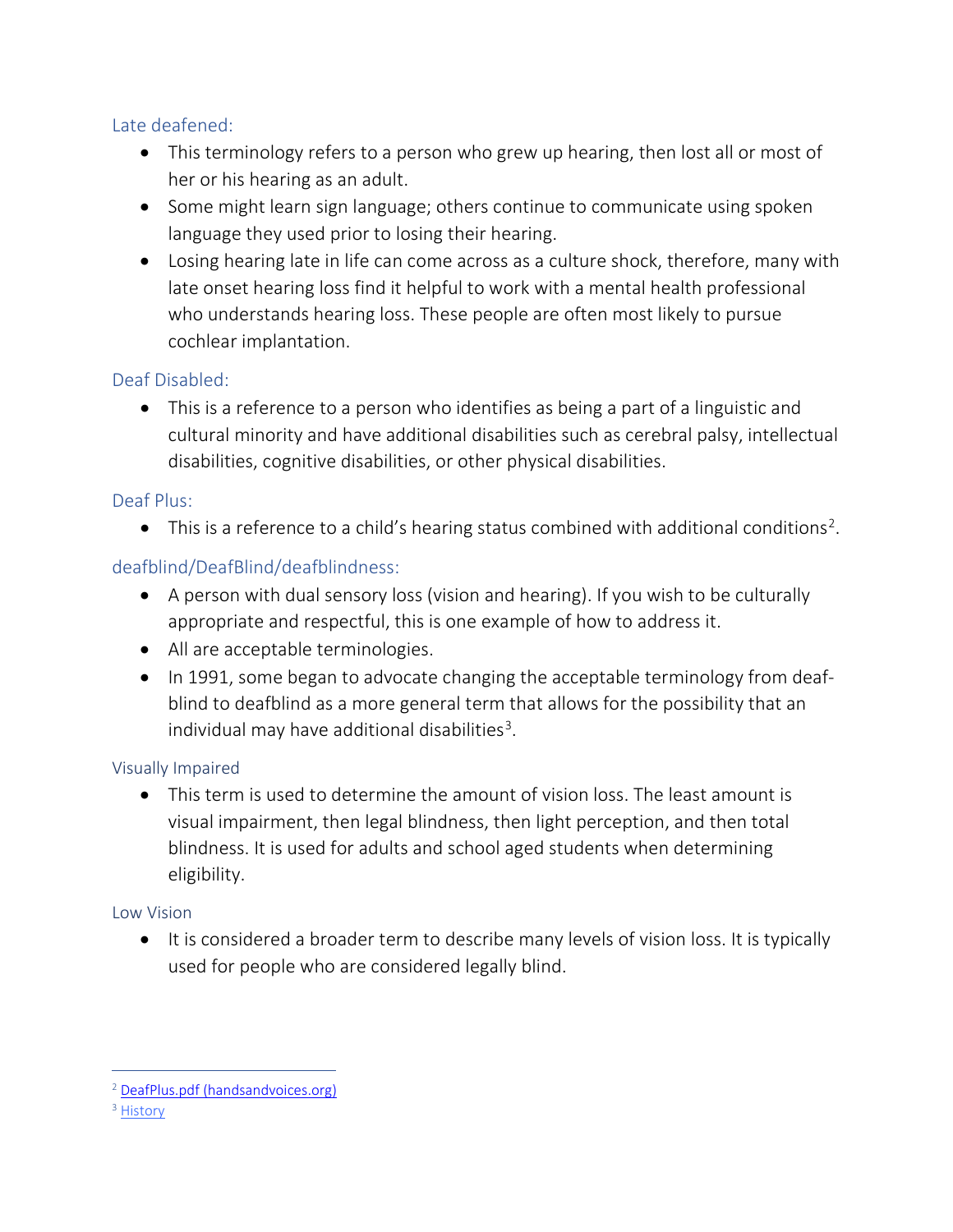#### <span id="page-4-0"></span>Late deafened:

- This terminology refers to a person who grew up hearing, then lost all or most of her or his hearing as an adult.
- Some might learn sign language; others continue to communicate using spoken language they used prior to losing their hearing.
- Losing hearing late in life can come across as a culture shock, therefore, many with late onset hearing loss find it helpful to work with a mental health professional who understands hearing loss. These people are often most likely to pursue cochlear implantation.

#### <span id="page-4-1"></span>Deaf Disabled:

• This is a reference to a person who identifies as being a part of a linguistic and cultural minority and have additional disabilities such as cerebral palsy, intellectual disabilities, cognitive disabilities, or other physical disabilities.

#### <span id="page-4-2"></span>Deaf Plus:

 $\bullet$  This is a reference to a child's hearing status combined with additional conditions<sup>[2](#page-4-6)</sup>.

## <span id="page-4-3"></span>deafblind/DeafBlind/deafblindness:

- A person with dual sensory loss (vision and hearing). If you wish to be culturally appropriate and respectful, this is one example of how to address it.
- All are acceptable terminologies.
- In 1991, some began to advocate changing the acceptable terminology from deafblind to deafblind as a more general term that allows for the possibility that an individual may have additional disabilities<sup>[3](#page-4-7)</sup>.

#### <span id="page-4-4"></span>Visually Impaired

• This term is used to determine the amount of vision loss. The least amount is visual impairment, then legal blindness, then light perception, and then total blindness. It is used for adults and school aged students when determining eligibility.

#### <span id="page-4-5"></span>Low Vision

• It is considered a broader term to describe many levels of vision loss. It is typically used for people who are considered legally blind.

<span id="page-4-6"></span><sup>&</sup>lt;sup>2</sup> [DeafPlus.pdf \(handsandvoices.org\)](https://handsandvoices.org/comcon/articles/pdfs/deafplus.pdf)

<span id="page-4-7"></span><sup>&</sup>lt;sup>3</sup> [History](http://www.deafblind.com/lagati.html#:%7E:text=or%20Deaf-blind%2C%20Side%20Bar%20On%20Terminology.%20In%201991%2C,place%20of%20the%20hyphenated%20word%20%22deaf-blind.%22%20His%20belief)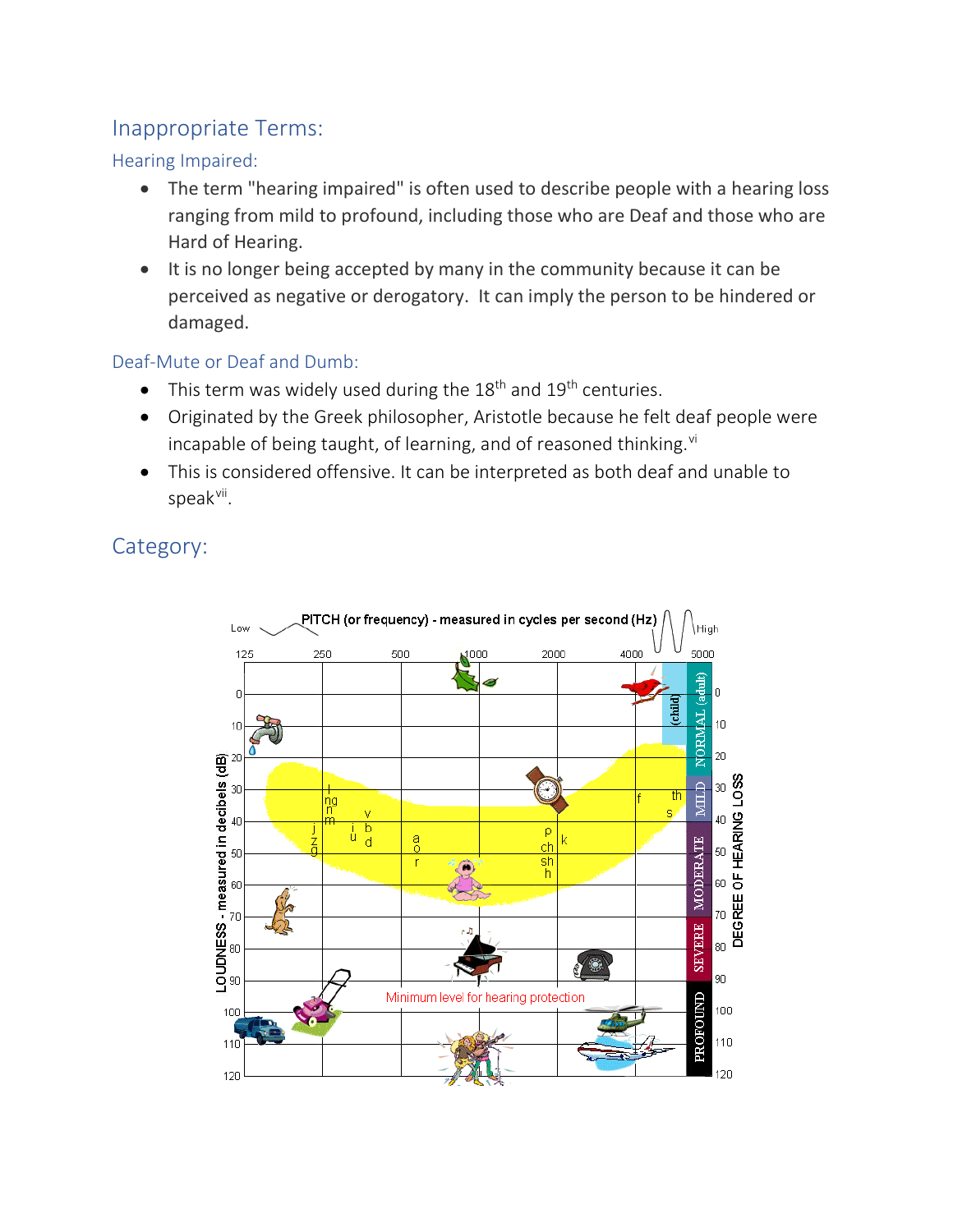## <span id="page-5-0"></span>Inappropriate Terms:

#### <span id="page-5-1"></span>Hearing Impaired:

- The term "hearing impaired" is often used to describe people with a hearing loss ranging from mild to profound, including those who are Deaf and those who are Hard of Hearing.
- It is no longer being accepted by many in the community because it can be perceived as negative or derogatory. It can imply the person to be hindered or damaged.

## <span id="page-5-2"></span>Deaf-Mute or Deaf and Dumb:

- This term was widely used during the  $18<sup>th</sup>$  and  $19<sup>th</sup>$  centuries.
- Originated by the Greek philosopher, Aristotle because he felt deaf people were incapable of being taught, of learning, and of reasoned thinking. $vi$
- This is considered offensive. It can be interpreted as both deaf and unable to speak<sup>[vii](#page-7-6)</sup>.

<span id="page-5-3"></span>Category:

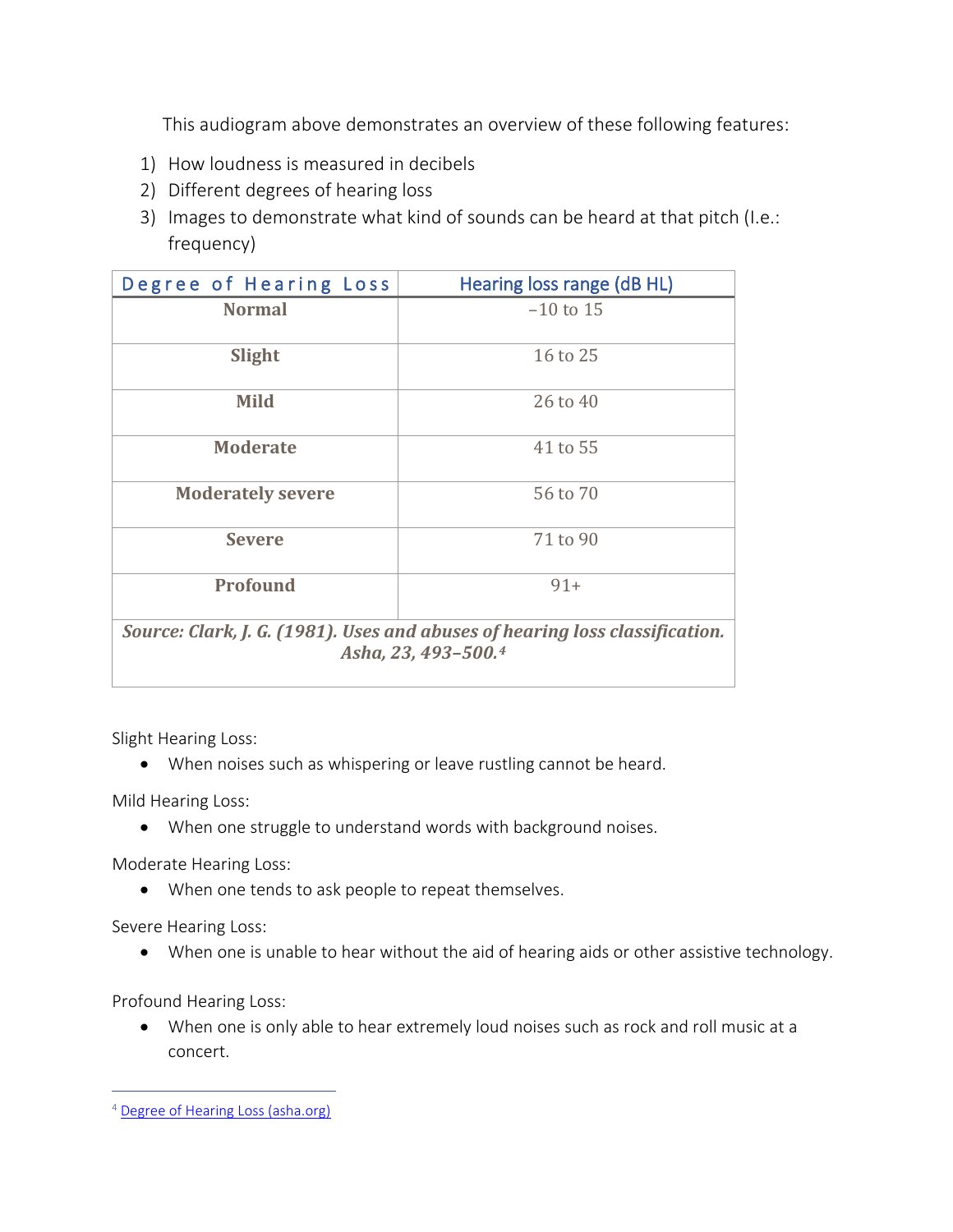This audiogram above demonstrates an overview of these following features:

- 1) How loudness is measured in decibels
- 2) Different degrees of hearing loss
- 3) Images to demonstrate what kind of sounds can be heard at that pitch (I.e.: frequency)

| Degree of Hearing Loss                                                                              | Hearing loss range (dB HL) |  |
|-----------------------------------------------------------------------------------------------------|----------------------------|--|
| <b>Normal</b>                                                                                       | $-10$ to 15                |  |
|                                                                                                     |                            |  |
| Slight                                                                                              | 16 to 25                   |  |
| <b>Mild</b>                                                                                         | 26 to 40                   |  |
| <b>Moderate</b>                                                                                     | 41 to 55                   |  |
| <b>Moderately severe</b>                                                                            | 56 to 70                   |  |
| <b>Severe</b>                                                                                       | 71 to 90                   |  |
| Profound                                                                                            | $91+$                      |  |
| Source: Clark, J. G. (1981). Uses and abuses of hearing loss classification.<br>Asha, 23, 493-500.4 |                            |  |

<span id="page-6-0"></span>Slight Hearing Loss:

• When noises such as whispering or leave rustling cannot be heard.

<span id="page-6-1"></span>Mild Hearing Loss:

• When one struggle to understand words with background noises.

<span id="page-6-2"></span>Moderate Hearing Loss:

• When one tends to ask people to repeat themselves.

<span id="page-6-3"></span>Severe Hearing Loss:

• When one is unable to hear without the aid of hearing aids or other assistive technology.

<span id="page-6-4"></span>Profound Hearing Loss:

• When one is only able to hear extremely loud noises such as rock and roll music at a concert.

<span id="page-6-5"></span><sup>&</sup>lt;sup>4</sup> [Degree of Hearing Loss \(asha.org\)](https://www.asha.org/public/hearing/Degree-of-Hearing-Loss/#:%7E:text=Degree%20of%20Hearing%20Loss%20%20%20%20Degree,41%20to%2055%20%204%20more%20rows%20)